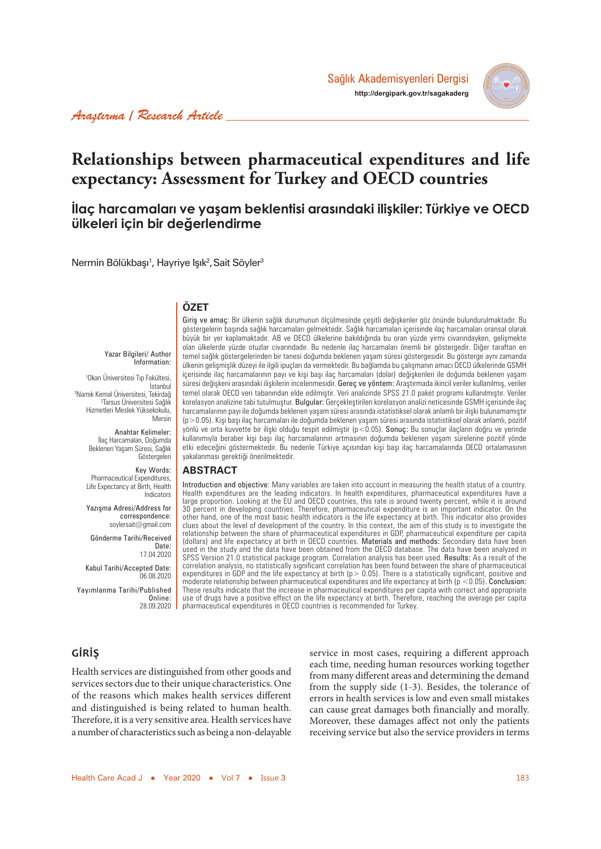

# **Relationships between pharmaceutical expenditures and life expectancy: Assessment for Turkey and OECD countries**

# **İlaç harcamaları ve yaşam beklentisi arasındaki ilişkiler: Türkiye ve OECD ülkeleri için bir değerlendirme**

Nermin Bölükbaşı<sup>1</sup>, Hayriye Işık<sup>2</sup>, Sait Söyler<sup>3</sup>

## **ÖZET**

Yazar Bilgileri/ Author Information:

1 Okan Üniversitesi Tıp Fakültesi, İstanbul 2 Namık Kemal Üniversitesi, Tekirdağ 3 Tarsus Üniversitesi Sağlık Hizmetleri Meslek Yüksekokulu, Mersin

> Anahtar Kelimeler: İlaç Harcamaları, Doğumda Beklenen Yaşam Süresi, Sağlık Göstergeleri

Key Words: Pharmaceutical Expenditures, Life Expectancy at Birth, Health Indicators

Yazışma Adresi/Address for correspondence: soylersait@gmail.com

Gönderme Tarihi/Received Date: 17.04.2020

Kabul Tarihi/Accepted Date: 06.08.2020

Yayımlanma Tarihi/Published Online: 28.09.2020 göstergelerin başında sağlık harcamaları gelmektedir. Sağlık harcamaları içerisinde ilaç harcamaları oransal olarak büyük bir yer kaplamaktadır. AB ve OECD ülkelerine bakıldığında bu oran yüzde yirmi civarındayken, gelişmekte olan ülkelerde yüzde otuzlar civarındadır. Bu nedenle ilaç harcamaları önemli bir göstergedir. Diğer taraftan en temel sağlık göstergelerinden bir tanesi doğumda beklenen yaşam süresi göstergesidir. Bu gösterge aynı zamanda ülkenin gelişmişlik düzeyi ile ilgili ipuçları da vermektedir. Bu bağlamda bu çalışmanın amacı OECD ülkelerinde GSMH içerisinde ilaç harcamalarının payı ve kişi başı ilaç harcamaları (dolar) değişkenleri ile doğumda beklenen yaşam süresi değişkeni arasındaki ilişkilerin incelenmesidir. Gereç ve yöntem: Araştırmada ikincil veriler kullanılmış, veriler temel olarak OECD veri tabanından elde edilmiştir. Veri analizinde SPSS 21.0 paket programı kullanılmıştır. Veriler korelasyon analizine tabi tutulmuştur. Bulgular: Gerçekleştirilen korelasyon analizi neticesinde GSMH içerisinde ilaç harcamalarının payı ile doğumda beklenen yaşam süresi arasında istatistiksel olarak anlamlı bir ilişki bulunamamıştır (p>0.05). Kişi başı ilaç harcamaları ile doğumda beklenen yaşam süresi arasında istatistiksel olarak anlamlı, pozitif yönlü ve orta kuvvette bir ilişki olduğu tespit edilmiştir (p<0.05). Sonuç: Bu sonuçlar ilaçların doğru ve yerinde kullanımıyla beraber kişi başı ilaç harcamalarının artmasının doğumda beklenen yaşam sürelerine pozitif yönde etki edeceğini göstermektedir. Bu nedenle Türkiye açısından kişi başı ilaç harcamalarında OECD ortalamasının yakalanması gerektiği önerilmektedir.

Giris ve amaç: Bir ülkenin sağlık durumunun ölçülmesinde çeşitli değişkenler göz önünde bulundurulmaktadır. Bu

#### **ABSTRACT**

Introduction and objective: Many variables are taken into account in measuring the health status of a country. Health expenditures are the leading indicators. In health expenditures, pharmaceutical expenditures have a large proportion. Looking at the EU and OECD countries, this rate is around twenty percent, while it is around 30 percent in developing countries. Therefore, pharmaceutical expenditure is an important indicator. On the other hand, one of the most basic health indicators is the life expectancy at birth. This indicator also provides clues about the level of development of the country. In this context, the aim of this study is to investigate the relationship between the share of pharmaceutical expenditures in GDP, pharmaceutical expenditure per capita (dollars) and life expectancy at birth in OECD countries. Materials and methods: Secondary data have been used in the study and the data have been obtained from the OECD database. The data have been analyzed in SPSS Version 21.0 statistical package program. Correlation analysis has been used. Results: As a result of the correlation analysis, no statistically significant correlation has been found between the share of pharmaceutical expenditures in GDP and the life expectancy at birth (p> 0.05). There is a statistically significant, positive and moderate relationship between pharmaceutical expenditures and life expectancy at birth ( $p < 0.05$ ). Conclusion: These results indicate that the increase in pharmaceutical expenditures per capita with correct and appropriate use of drugs have a positive effect on the life expectancy at birth. Therefore, reaching the average per capita pharmaceutical expenditures in OECD countries is recommended for Turkey.

### **GİRİŞ**

Health services are distinguished from other goods and services sectors due to their unique characteristics. One of the reasons which makes health services different and distinguished is being related to human health. Therefore, it is a very sensitive area. Health services have a number of characteristics such as being a non-delayable

service in most cases, requiring a different approach each time, needing human resources working together from many different areas and determining the demand from the supply side (1-3). Besides, the tolerance of errors in health services is low and even small mistakes can cause great damages both financially and morally. Moreover, these damages affect not only the patients receiving service but also the service providers in terms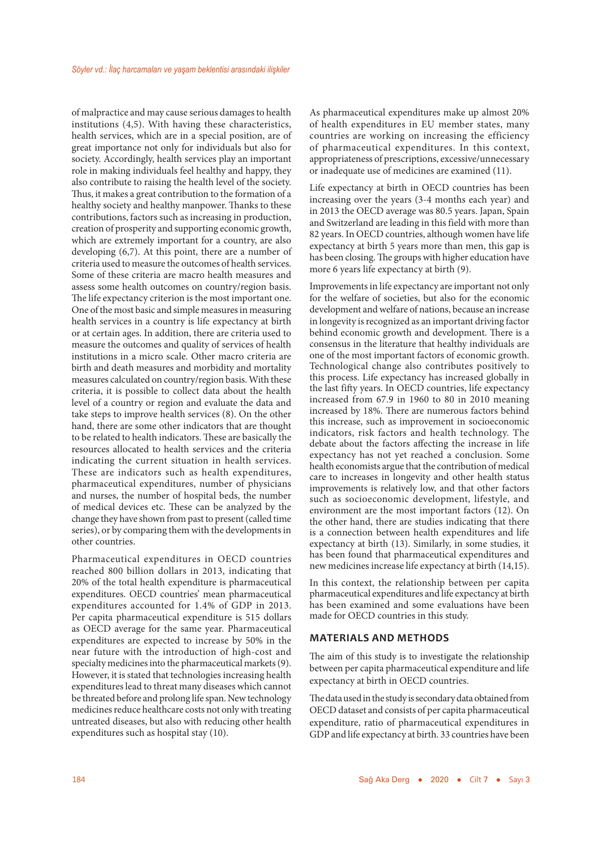of malpractice and may cause serious damages to health institutions (4,5). With having these characteristics, health services, which are in a special position, are of great importance not only for individuals but also for society. Accordingly, health services play an important role in making individuals feel healthy and happy, they also contribute to raising the health level of the society. Thus, it makes a great contribution to the formation of a healthy society and healthy manpower. Thanks to these contributions, factors such as increasing in production, creation of prosperity and supporting economic growth, which are extremely important for a country, are also developing (6,7). At this point, there are a number of criteria used to measure the outcomes of health services. Some of these criteria are macro health measures and assess some health outcomes on country/region basis. The life expectancy criterion is the most important one. One of the most basic and simple measures in measuring health services in a country is life expectancy at birth or at certain ages. In addition, there are criteria used to measure the outcomes and quality of services of health institutions in a micro scale. Other macro criteria are birth and death measures and morbidity and mortality measures calculated on country/region basis. With these criteria, it is possible to collect data about the health level of a country or region and evaluate the data and take steps to improve health services (8). On the other hand, there are some other indicators that are thought to be related to health indicators. These are basically the resources allocated to health services and the criteria indicating the current situation in health services. These are indicators such as health expenditures, pharmaceutical expenditures, number of physicians and nurses, the number of hospital beds, the number of medical devices etc. These can be analyzed by the change they have shown from past to present (called time series), or by comparing them with the developments in other countries.

Pharmaceutical expenditures in OECD countries reached 800 billion dollars in 2013, indicating that 20% of the total health expenditure is pharmaceutical expenditures. OECD countries' mean pharmaceutical expenditures accounted for 1.4% of GDP in 2013. Per capita pharmaceutical expenditure is 515 dollars as OECD average for the same year. Pharmaceutical expenditures are expected to increase by 50% in the near future with the introduction of high-cost and specialty medicines into the pharmaceutical markets (9). However, it is stated that technologies increasing health expenditures lead to threat many diseases which cannot be threated before and prolong life span. New technology medicines reduce healthcare costs not only with treating untreated diseases, but also with reducing other health expenditures such as hospital stay (10).

As pharmaceutical expenditures make up almost 20% of health expenditures in EU member states, many countries are working on increasing the efficiency of pharmaceutical expenditures. In this context, appropriateness of prescriptions, excessive/unnecessary or inadequate use of medicines are examined (11).

Life expectancy at birth in OECD countries has been increasing over the years (3-4 months each year) and in 2013 the OECD average was 80.5 years. Japan, Spain and Switzerland are leading in this field with more than 82 years. In OECD countries, although women have life expectancy at birth 5 years more than men, this gap is has been closing. The groups with higher education have more 6 years life expectancy at birth (9).

Improvements in life expectancy are important not only for the welfare of societies, but also for the economic development and welfare of nations, because an increase in longevity is recognized as an important driving factor behind economic growth and development. There is a consensus in the literature that healthy individuals are one of the most important factors of economic growth. Technological change also contributes positively to this process. Life expectancy has increased globally in the last fifty years. In OECD countries, life expectancy increased from 67.9 in 1960 to 80 in 2010 meaning increased by 18%. There are numerous factors behind this increase, such as improvement in socioeconomic indicators, risk factors and health technology. The debate about the factors affecting the increase in life expectancy has not yet reached a conclusion. Some health economists argue that the contribution of medical care to increases in longevity and other health status improvements is relatively low, and that other factors such as socioeconomic development, lifestyle, and environment are the most important factors (12). On the other hand, there are studies indicating that there is a connection between health expenditures and life expectancy at birth (13). Similarly, in some studies, it has been found that pharmaceutical expenditures and new medicines increase life expectancy at birth (14,15).

In this context, the relationship between per capita pharmaceutical expenditures and life expectancy at birth has been examined and some evaluations have been made for OECD countries in this study.

#### **MATERIALS AND METHODS**

The aim of this study is to investigate the relationship between per capita pharmaceutical expenditure and life expectancy at birth in OECD countries.

The data used in the study is secondary data obtained from OECD dataset and consists of per capita pharmaceutical expenditure, ratio of pharmaceutical expenditures in GDP and life expectancy at birth. 33 countries have been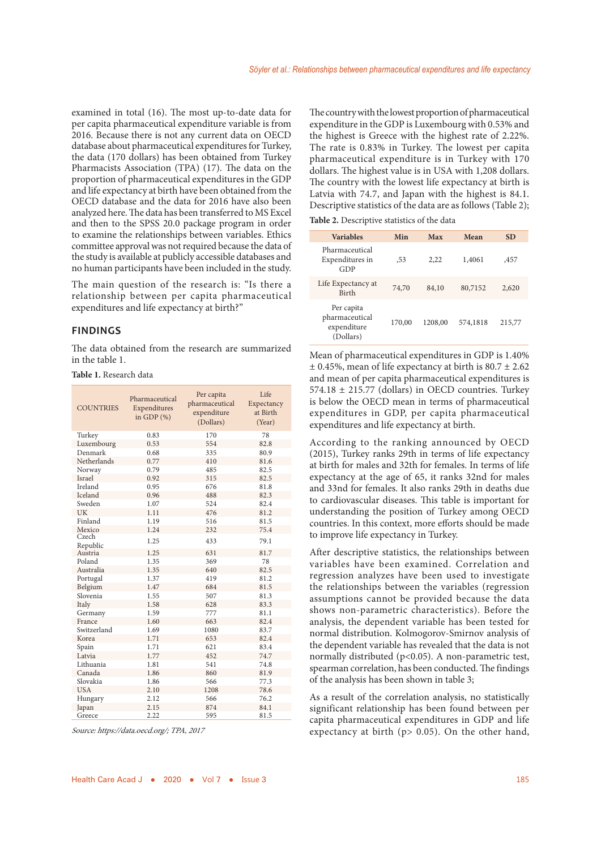examined in total (16). The most up-to-date data for per capita pharmaceutical expenditure variable is from 2016. Because there is not any current data on OECD database about pharmaceutical expenditures for Turkey, the data (170 dollars) has been obtained from Turkey Pharmacists Association (TPA) (17). The data on the proportion of pharmaceutical expenditures in the GDP and life expectancy at birth have been obtained from the OECD database and the data for 2016 have also been analyzed here. The data has been transferred to MS Excel and then to the SPSS 20.0 package program in order to examine the relationships between variables. Ethics committee approval was not required because the data of the study is available at publicly accessible databases and no human participants have been included in the study.

The main question of the research is: "Is there a relationship between per capita pharmaceutical expenditures and life expectancy at birth?"

#### **FINDINGS**

The data obtained from the research are summarized in the table 1.

**Table 1.** Research data

| <b>COUNTRIES</b>    | Pharmaceutical<br>Expenditures<br>in GDP $(%)$ | Per capita<br>pharmaceutical<br>expenditure<br>(Dollars) | Life<br>Expectancy<br>at Birth<br>(Year) |
|---------------------|------------------------------------------------|----------------------------------------------------------|------------------------------------------|
| Turkey              | 0.83                                           | 170                                                      | 78                                       |
| Luxembourg          | 0.53                                           | 554                                                      | 82.8                                     |
| Denmark             | 0.68                                           | 335                                                      | 80.9                                     |
| Netherlands         | 0.77                                           | 410                                                      | 81.6                                     |
| Norway              | 0.79                                           | 485                                                      | 82.5                                     |
| Israel              | 0.92                                           | 315                                                      | 82.5                                     |
| Ireland             | 0.95                                           | 676                                                      | 81.8                                     |
| Iceland             | 0.96                                           | 488                                                      | 82.3                                     |
| Sweden              | 1.07                                           | 524                                                      | 82.4                                     |
| UK                  | 1.11                                           | 476                                                      | 81.2                                     |
| Finland             | 1.19                                           | 516                                                      | 81.5                                     |
| Mexico              | 1.24                                           | 232                                                      | 75.4                                     |
| Czech               | 1.25                                           | 433                                                      | 79.1                                     |
| Republic<br>Austria | 1.25                                           | 631                                                      | 81.7                                     |
| Poland              | 1.35                                           | 369                                                      | 78                                       |
| Australia           | 1.35                                           | 640                                                      | 82.5                                     |
| Portugal            | 1.37                                           | 419                                                      | 81.2                                     |
| Belgium             | 1.47                                           | 684                                                      | 81.5                                     |
| Slovenia            | 1.55                                           | 507                                                      | 81.3                                     |
| Italy               | 1.58                                           | 628                                                      | 83.3                                     |
| Germany             | 1.59                                           | 777                                                      | 81.1                                     |
| France              | 1.60                                           | 663                                                      | 82.4                                     |
| Switzerland         | 1.69                                           | 1080                                                     | 83.7                                     |
| Korea               | 1.71                                           | 653                                                      | 82.4                                     |
| Spain               | 1.71                                           | 621                                                      | 83.4                                     |
| Latvia              | 1.77                                           | 452                                                      | 74.7                                     |
| Lithuania           | 1.81                                           | 541                                                      | 74.8                                     |
| Canada              | 1.86                                           | 860                                                      | 81.9                                     |
| Slovakia            | 1.86                                           | 566                                                      | 77.3                                     |
| <b>USA</b>          | 2.10                                           | 1208                                                     | 78.6                                     |
| Hungary             | 2.12                                           | 566                                                      | 76.2                                     |
| Japan               | 2.15                                           | 874                                                      | 84.1                                     |
| Greece              | 2.22                                           | 595                                                      | 81.5                                     |

Source: https://data.oecd.org/; TPA, 2017

The country with the lowest proportion of pharmaceutical expenditure in the GDP is Luxembourg with 0.53% and the highest is Greece with the highest rate of 2.22%. The rate is 0.83% in Turkey. The lowest per capita pharmaceutical expenditure is in Turkey with 170 dollars. The highest value is in USA with 1,208 dollars. The country with the lowest life expectancy at birth is Latvia with 74.7, and Japan with the highest is 84.1. Descriptive statistics of the data are as follows (Table 2);

**Table 2.** Descriptive statistics of the data

| <b>Variables</b>                                         | Min    | Max     | Mean     | <b>SD</b> |
|----------------------------------------------------------|--------|---------|----------|-----------|
| Pharmaceutical<br>Expenditures in<br>GDP                 | ,53    | 2.22    | 1,4061   | .457      |
| Life Expectancy at<br><b>Birth</b>                       | 74,70  | 84,10   | 80,7152  | 2,620     |
| Per capita<br>pharmaceutical<br>expenditure<br>(Dollars) | 170,00 | 1208,00 | 574,1818 | 215,77    |

Mean of pharmaceutical expenditures in GDP is 1.40%  $\pm$  0.45%, mean of life expectancy at birth is 80.7  $\pm$  2.62 and mean of per capita pharmaceutical expenditures is 574.18 ± 215.77 (dollars) in OECD countries. Turkey is below the OECD mean in terms of pharmaceutical expenditures in GDP, per capita pharmaceutical expenditures and life expectancy at birth.

According to the ranking announced by OECD (2015), Turkey ranks 29th in terms of life expectancy at birth for males and 32th for females. In terms of life expectancy at the age of 65, it ranks 32nd for males and 33nd for females. It also ranks 29th in deaths due to cardiovascular diseases. This table is important for understanding the position of Turkey among OECD countries. In this context, more efforts should be made to improve life expectancy in Turkey.

After descriptive statistics, the relationships between variables have been examined. Correlation and regression analyzes have been used to investigate the relationships between the variables (regression assumptions cannot be provided because the data shows non-parametric characteristics). Before the analysis, the dependent variable has been tested for normal distribution. Kolmogorov-Smirnov analysis of the dependent variable has revealed that the data is not normally distributed (p<0.05). A non-parametric test, spearman correlation, has been conducted. The findings of the analysis has been shown in table 3;

As a result of the correlation analysis, no statistically significant relationship has been found between per capita pharmaceutical expenditures in GDP and life expectancy at birth (p> 0.05). On the other hand,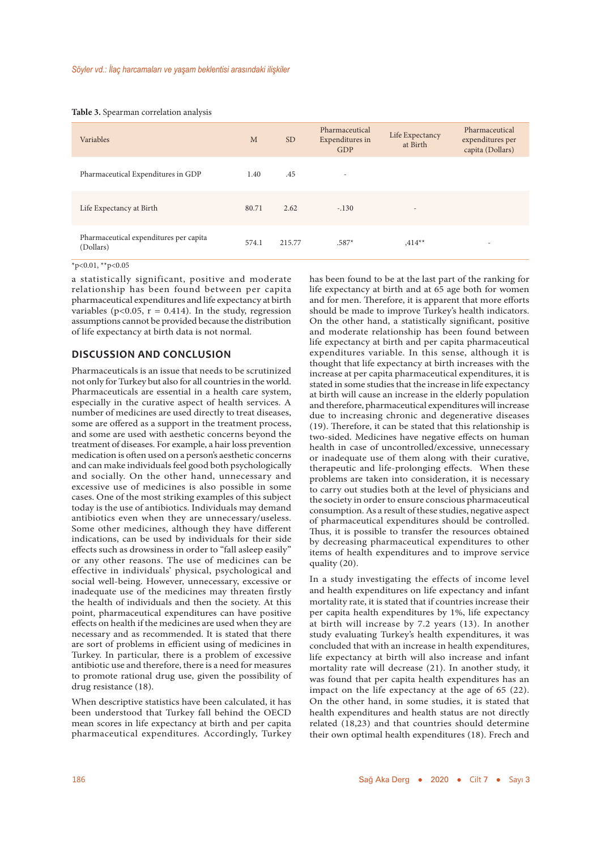#### **Table 3.** Spearman correlation analysis

| Variables                                           | M     | <b>SD</b> | Pharmaceutical<br>Expenditures in<br>GDP | Life Expectancy<br>at Birth | Pharmaceutical<br>expenditures per<br>capita (Dollars) |
|-----------------------------------------------------|-------|-----------|------------------------------------------|-----------------------------|--------------------------------------------------------|
| Pharmaceutical Expenditures in GDP                  | 1.40  | .45       | $\overline{\phantom{a}}$                 |                             |                                                        |
| Life Expectancy at Birth                            | 80.71 | 2.62      | $-.130$                                  | $\overline{\phantom{a}}$    |                                                        |
| Pharmaceutical expenditures per capita<br>(Dollars) | 574.1 | 215.77    | $.587*$                                  | $,414**$                    | $\overline{\phantom{a}}$                               |

 $*p<0.01$ ,  $*p<0.05$ 

a statistically significant, positive and moderate relationship has been found between per capita pharmaceutical expenditures and life expectancy at birth variables ( $p$ <0.05,  $r = 0.414$ ). In the study, regression assumptions cannot be provided because the distribution of life expectancy at birth data is not normal.

### **DISCUSSION AND CONCLUSION**

Pharmaceuticals is an issue that needs to be scrutinized not only for Turkey but also for all countries in the world. Pharmaceuticals are essential in a health care system, especially in the curative aspect of health services. A number of medicines are used directly to treat diseases, some are offered as a support in the treatment process, and some are used with aesthetic concerns beyond the treatment of diseases. For example, a hair loss prevention medication is often used on a person's aesthetic concerns and can make individuals feel good both psychologically and socially. On the other hand, unnecessary and excessive use of medicines is also possible in some cases. One of the most striking examples of this subject today is the use of antibiotics. Individuals may demand antibiotics even when they are unnecessary/useless. Some other medicines, although they have different indications, can be used by individuals for their side effects such as drowsiness in order to "fall asleep easily" or any other reasons. The use of medicines can be effective in individuals' physical, psychological and social well-being. However, unnecessary, excessive or inadequate use of the medicines may threaten firstly the health of individuals and then the society. At this point, pharmaceutical expenditures can have positive effects on health if the medicines are used when they are necessary and as recommended. It is stated that there are sort of problems in efficient using of medicines in Turkey. In particular, there is a problem of excessive antibiotic use and therefore, there is a need for measures to promote rational drug use, given the possibility of drug resistance (18).

When descriptive statistics have been calculated, it has been understood that Turkey fall behind the OECD mean scores in life expectancy at birth and per capita pharmaceutical expenditures. Accordingly, Turkey has been found to be at the last part of the ranking for life expectancy at birth and at 65 age both for women and for men. Therefore, it is apparent that more efforts should be made to improve Turkey's health indicators. On the other hand, a statistically significant, positive and moderate relationship has been found between life expectancy at birth and per capita pharmaceutical expenditures variable. In this sense, although it is thought that life expectancy at birth increases with the increase at per capita pharmaceutical expenditures, it is stated in some studies that the increase in life expectancy at birth will cause an increase in the elderly population and therefore, pharmaceutical expenditures will increase due to increasing chronic and degenerative diseases (19). Therefore, it can be stated that this relationship is two-sided. Medicines have negative effects on human health in case of uncontrolled/excessive, unnecessary or inadequate use of them along with their curative, therapeutic and life-prolonging effects. When these problems are taken into consideration, it is necessary to carry out studies both at the level of physicians and the society in order to ensure conscious pharmaceutical consumption. As a result of these studies, negative aspect of pharmaceutical expenditures should be controlled. Thus, it is possible to transfer the resources obtained by decreasing pharmaceutical expenditures to other items of health expenditures and to improve service quality (20).

In a study investigating the effects of income level and health expenditures on life expectancy and infant mortality rate, it is stated that if countries increase their per capita health expenditures by 1%, life expectancy at birth will increase by 7.2 years (13). In another study evaluating Turkey's health expenditures, it was concluded that with an increase in health expenditures, life expectancy at birth will also increase and infant mortality rate will decrease (21). In another study, it was found that per capita health expenditures has an impact on the life expectancy at the age of 65 (22). On the other hand, in some studies, it is stated that health expenditures and health status are not directly related (18,23) and that countries should determine their own optimal health expenditures (18). Frech and